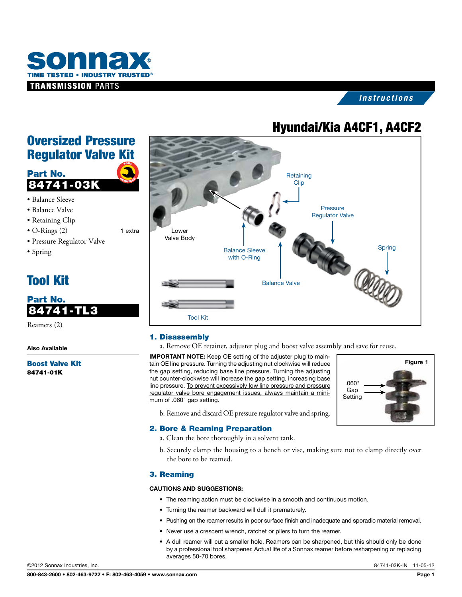

# *Instructions*

# Hyundai/Kia A4CF1, A4CF2

# Oversized Pressure Regulator Valve Kit



- • Balance Sleeve
- • Balance Valve
- Retaining Clip
- O-Rings (2) 1 extra
- • Pressure Regulator Valve
- • Spring

# Tool Kit

# Part No. 84741-TL3

Reamers (2)

Also Available

Boost Valve Kit 84741-01K



## 1. Disassembly

a. Remove OE retainer, adjuster plug and boost valve assembly and save for reuse.

IMPORTANT NOTE: Keep OE setting of the adjuster plug to maintain OE line pressure. Turning the adjusting nut clockwise will reduce the gap setting, reducing base line pressure. Turning the adjusting nut counter-clockwise will increase the gap setting, increasing base line pressure. To prevent excessively low line pressure and pressure regulator valve bore engagement issues, always maintain a minimum of .060" gap setting.



b. Remove and discard OE pressure regulator valve and spring.

## 2. Bore & Reaming Preparation

- a. Clean the bore thoroughly in a solvent tank.
- b. Securely clamp the housing to a bench or vise, making sure not to clamp directly over the bore to be reamed.

## 3. Reaming

#### CAUTIONS AND SUGGESTIONS:

- The reaming action must be clockwise in a smooth and continuous motion.
- • Turning the reamer backward will dull it prematurely.
- • Pushing on the reamer results in poor surface finish and inadequate and sporadic material removal.
- Never use a crescent wrench, ratchet or pliers to turn the reamer.
- A dull reamer will cut a smaller hole. Reamers can be sharpened, but this should only be done by a professional tool sharpener. Actual life of a Sonnax reamer before resharpening or replacing averages 50-70 bores.

©2012 Sonnax Industries, Inc. 84741-03K-IN 11-05-12